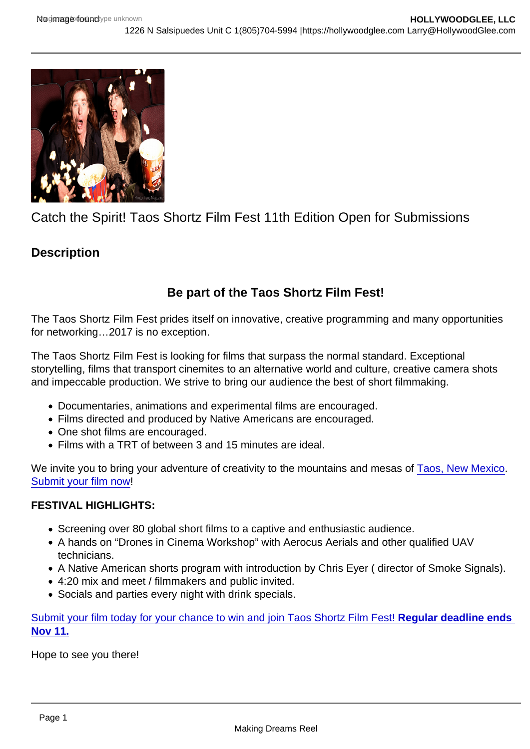# Catch the Spirit! Taos Shortz Film Fest 11th Edition Open for Submissions

**Description** 

# Be part of the Taos Shortz Film Fest!

The Taos Shortz Film Fest prides itself on innovative, creative programming and many opportunities for networking…2017 is no exception.

The Taos Shortz Film Fest is looking for films that surpass the normal standard. Exceptional storytelling, films that transport cinemites to an alternative world and culture, creative camera shots and impeccable production. We strive to bring our audience the best of short filmmaking.

- Documentaries, animations and experimental films are encouraged.
- Films directed and produced by Native Americans are encouraged.
- One shot films are encouraged.
- Films with a TRT of between 3 and 15 minutes are ideal.

We invite you to bring your adventure of creativity to the mountains and mesas of [Taos, New Mexico](http://www.taosshortz.com/2016/?page_id=545). [Submit your film now](http://www.taosshortz.com/2016/submit/)!

#### FESTIVAL HIGHLIGHTS:

- Screening over 80 global short films to a captive and enthusiastic audience.
- A hands on "Drones in Cinema Workshop" with Aerocus Aerials and other qualified UAV technicians.
- A Native American shorts program with introduction by Chris Eyer ( director of Smoke Signals).
- 4:20 mix and meet / filmmakers and public invited.
- Socials and parties every night with drink specials.

[Submit your film today for your chance to win and join Taos Shortz Film Fest! Regular deadline ends](http://www.filmfestivallife.com/Taos-Shortz-Film-Fest)  Nov 11.

Hope to see you there!